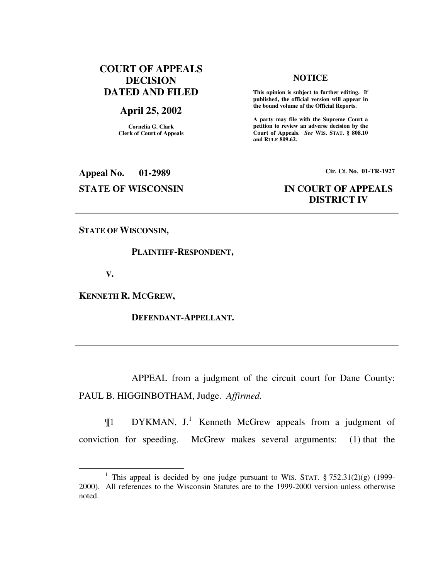# **COURT OF APPEALS DECISION DATED AND FILED**

# **April 25, 2002**

**Cornelia G. Clark Clerk of Court of Appeals**

#### **NOTICE**

 **This opinion is subject to further editing. If published, the official version will appear in the bound volume of the Official Reports.** 

**A party may file with the Supreme Court a petition to review an adverse decision by the Court of Appeals.** *See* **WIS. STAT. § 808.10 and RULE 809.62.** 

**Appeal No. 01-2989 Cir. Ct. No. 01-TR-1927**

# **STATE OF WISCONSIN IN COURT OF APPEALS DISTRICT IV**

**STATE OF WISCONSIN,** 

#### **PLAINTIFF-RESPONDENT,**

 **V.** 

 $\overline{a}$ 

**KENNETH R. MCGREW,** 

 **DEFENDANT-APPELLANT.** 

 APPEAL from a judgment of the circuit court for Dane County: PAUL B. HIGGINBOTHAM, Judge. *Affirmed.*

 $\P1$  DYKMAN, J.<sup>1</sup> Kenneth McGrew appeals from a judgment of conviction for speeding. McGrew makes several arguments: (1) that the

<sup>&</sup>lt;sup>1</sup> This appeal is decided by one judge pursuant to WIS. STAT.  $\S 752.31(2)(g)$  (1999-2000). All references to the Wisconsin Statutes are to the 1999-2000 version unless otherwise noted.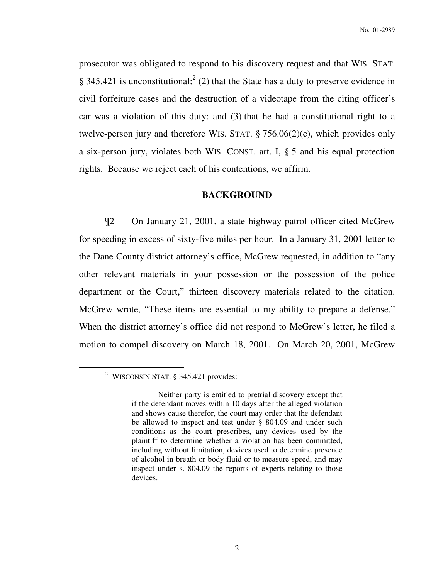No. 01-2989

prosecutor was obligated to respond to his discovery request and that WIS. STAT. § 345.421 is unconstitutional;<sup>2</sup> (2) that the State has a duty to preserve evidence in civil forfeiture cases and the destruction of a videotape from the citing officer's car was a violation of this duty; and (3) that he had a constitutional right to a twelve-person jury and therefore WIS. STAT. § 756.06(2)(c), which provides only a six-person jury, violates both WIS. CONST. art. I, § 5 and his equal protection rights. Because we reject each of his contentions, we affirm.

### **BACKGROUND**

¶2 On January 21, 2001, a state highway patrol officer cited McGrew for speeding in excess of sixty-five miles per hour. In a January 31, 2001 letter to the Dane County district attorney's office, McGrew requested, in addition to "any other relevant materials in your possession or the possession of the police department or the Court," thirteen discovery materials related to the citation. McGrew wrote, "These items are essential to my ability to prepare a defense." When the district attorney's office did not respond to McGrew's letter, he filed a motion to compel discovery on March 18, 2001. On March 20, 2001, McGrew

<sup>&</sup>lt;sup>2</sup> WISCONSIN STAT. § 345.421 provides:

Neither party is entitled to pretrial discovery except that if the defendant moves within 10 days after the alleged violation and shows cause therefor, the court may order that the defendant be allowed to inspect and test under § 804.09 and under such conditions as the court prescribes, any devices used by the plaintiff to determine whether a violation has been committed, including without limitation, devices used to determine presence of alcohol in breath or body fluid or to measure speed, and may inspect under s. 804.09 the reports of experts relating to those devices.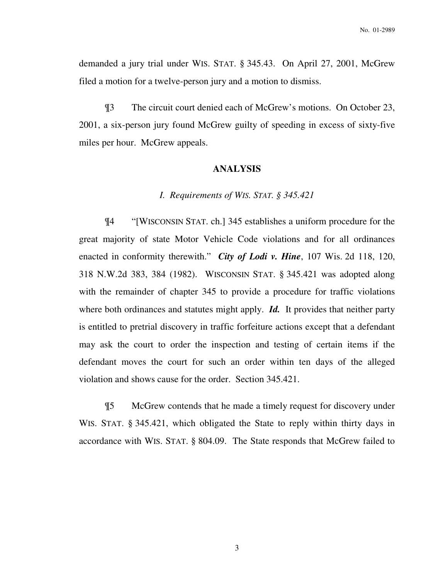demanded a jury trial under WIS. STAT. § 345.43. On April 27, 2001, McGrew filed a motion for a twelve-person jury and a motion to dismiss.

¶3 The circuit court denied each of McGrew's motions. On October 23, 2001, a six-person jury found McGrew guilty of speeding in excess of sixty-five miles per hour. McGrew appeals.

## **ANALYSIS**

### *I. Requirements of WIS. STAT. § 345.421*

¶4 "[WISCONSIN STAT. ch.] 345 establishes a uniform procedure for the great majority of state Motor Vehicle Code violations and for all ordinances enacted in conformity therewith." *City of Lodi v. Hine*, 107 Wis. 2d 118, 120, 318 N.W.2d 383, 384 (1982). WISCONSIN STAT. § 345.421 was adopted along with the remainder of chapter 345 to provide a procedure for traffic violations where both ordinances and statutes might apply. **Id.** It provides that neither party is entitled to pretrial discovery in traffic forfeiture actions except that a defendant may ask the court to order the inspection and testing of certain items if the defendant moves the court for such an order within ten days of the alleged violation and shows cause for the order. Section 345.421.

¶5 McGrew contends that he made a timely request for discovery under WIS. STAT. § 345.421, which obligated the State to reply within thirty days in accordance with WIS. STAT. § 804.09. The State responds that McGrew failed to

3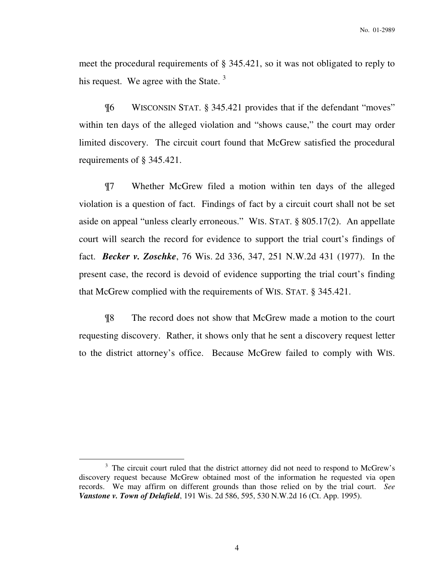meet the procedural requirements of § 345.421, so it was not obligated to reply to his request. We agree with the State.  $3$ 

¶6 WISCONSIN STAT. § 345.421 provides that if the defendant "moves" within ten days of the alleged violation and "shows cause," the court may order limited discovery. The circuit court found that McGrew satisfied the procedural requirements of § 345.421.

¶7 Whether McGrew filed a motion within ten days of the alleged violation is a question of fact. Findings of fact by a circuit court shall not be set aside on appeal "unless clearly erroneous." WIS. STAT. § 805.17(2). An appellate court will search the record for evidence to support the trial court's findings of fact. *Becker v. Zoschke*, 76 Wis. 2d 336, 347, 251 N.W.2d 431 (1977). In the present case, the record is devoid of evidence supporting the trial court's finding that McGrew complied with the requirements of WIS. STAT. § 345.421.

¶8 The record does not show that McGrew made a motion to the court requesting discovery. Rather, it shows only that he sent a discovery request letter to the district attorney's office. Because McGrew failed to comply with WIS.

<sup>&</sup>lt;sup>3</sup> The circuit court ruled that the district attorney did not need to respond to McGrew's discovery request because McGrew obtained most of the information he requested via open records. We may affirm on different grounds than those relied on by the trial court. *See Vanstone v. Town of Delafield*, 191 Wis. 2d 586, 595, 530 N.W.2d 16 (Ct. App. 1995).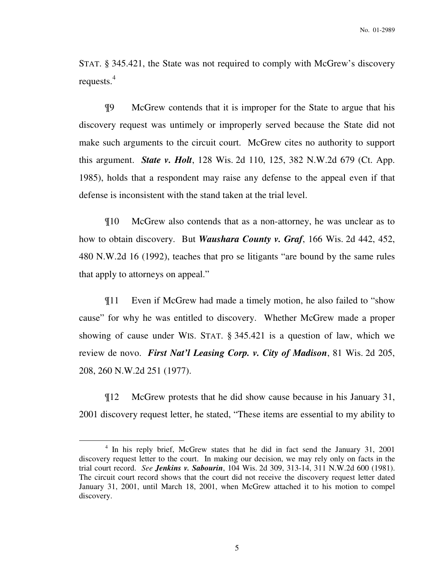STAT. § 345.421, the State was not required to comply with McGrew's discovery requests. $4$ 

¶9 McGrew contends that it is improper for the State to argue that his discovery request was untimely or improperly served because the State did not make such arguments to the circuit court. McGrew cites no authority to support this argument. *State v. Holt*, 128 Wis. 2d 110, 125, 382 N.W.2d 679 (Ct. App. 1985), holds that a respondent may raise any defense to the appeal even if that defense is inconsistent with the stand taken at the trial level.

¶10 McGrew also contends that as a non-attorney, he was unclear as to how to obtain discovery. But *Waushara County v. Graf*, 166 Wis. 2d 442, 452, 480 N.W.2d 16 (1992), teaches that pro se litigants "are bound by the same rules that apply to attorneys on appeal."

¶11 Even if McGrew had made a timely motion, he also failed to "show cause" for why he was entitled to discovery. Whether McGrew made a proper showing of cause under WIS. STAT. § 345.421 is a question of law, which we review de novo. *First Nat'l Leasing Corp. v. City of Madison*, 81 Wis. 2d 205, 208, 260 N.W.2d 251 (1977).

¶12 McGrew protests that he did show cause because in his January 31, 2001 discovery request letter, he stated, "These items are essential to my ability to

<sup>&</sup>lt;sup>4</sup> In his reply brief, McGrew states that he did in fact send the January 31, 2001 discovery request letter to the court. In making our decision, we may rely only on facts in the trial court record. *See Jenkins v. Sabourin*, 104 Wis. 2d 309, 313-14, 311 N.W.2d 600 (1981). The circuit court record shows that the court did not receive the discovery request letter dated January 31, 2001, until March 18, 2001, when McGrew attached it to his motion to compel discovery.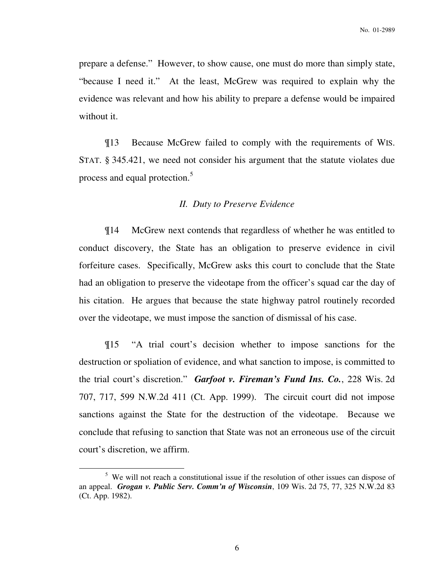prepare a defense." However, to show cause, one must do more than simply state, "because I need it." At the least, McGrew was required to explain why the evidence was relevant and how his ability to prepare a defense would be impaired without it.

¶13 Because McGrew failed to comply with the requirements of WIS. STAT. § 345.421, we need not consider his argument that the statute violates due process and equal protection.<sup>5</sup>

### *II. Duty to Preserve Evidence*

¶14 McGrew next contends that regardless of whether he was entitled to conduct discovery, the State has an obligation to preserve evidence in civil forfeiture cases. Specifically, McGrew asks this court to conclude that the State had an obligation to preserve the videotape from the officer's squad car the day of his citation. He argues that because the state highway patrol routinely recorded over the videotape, we must impose the sanction of dismissal of his case.

¶15 "A trial court's decision whether to impose sanctions for the destruction or spoliation of evidence, and what sanction to impose, is committed to the trial court's discretion." *Garfoot v. Fireman's Fund Ins. Co.*, 228 Wis. 2d 707, 717, 599 N.W.2d 411 (Ct. App. 1999). The circuit court did not impose sanctions against the State for the destruction of the videotape. Because we conclude that refusing to sanction that State was not an erroneous use of the circuit court's discretion, we affirm.

<sup>&</sup>lt;sup>5</sup> We will not reach a constitutional issue if the resolution of other issues can dispose of an appeal. *Grogan v. Public Serv. Comm'n of Wisconsin*, 109 Wis. 2d 75, 77, 325 N.W.2d 83 (Ct. App. 1982).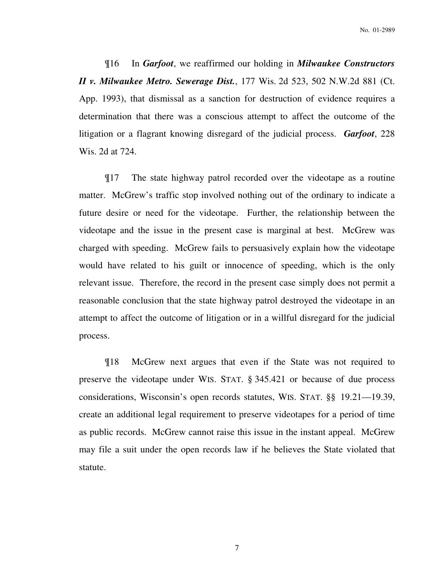¶16 In *Garfoot*, we reaffirmed our holding in *Milwaukee Constructors II v. Milwaukee Metro. Sewerage Dist.*, 177 Wis. 2d 523, 502 N.W.2d 881 (Ct. App. 1993), that dismissal as a sanction for destruction of evidence requires a determination that there was a conscious attempt to affect the outcome of the litigation or a flagrant knowing disregard of the judicial process. *Garfoot*, 228 Wis. 2d at 724.

¶17 The state highway patrol recorded over the videotape as a routine matter. McGrew's traffic stop involved nothing out of the ordinary to indicate a future desire or need for the videotape. Further, the relationship between the videotape and the issue in the present case is marginal at best. McGrew was charged with speeding. McGrew fails to persuasively explain how the videotape would have related to his guilt or innocence of speeding, which is the only relevant issue. Therefore, the record in the present case simply does not permit a reasonable conclusion that the state highway patrol destroyed the videotape in an attempt to affect the outcome of litigation or in a willful disregard for the judicial process.

¶18 McGrew next argues that even if the State was not required to preserve the videotape under WIS. STAT. § 345.421 or because of due process considerations, Wisconsin's open records statutes, WIS. STAT. §§ 19.21—19.39, create an additional legal requirement to preserve videotapes for a period of time as public records. McGrew cannot raise this issue in the instant appeal. McGrew may file a suit under the open records law if he believes the State violated that statute.

7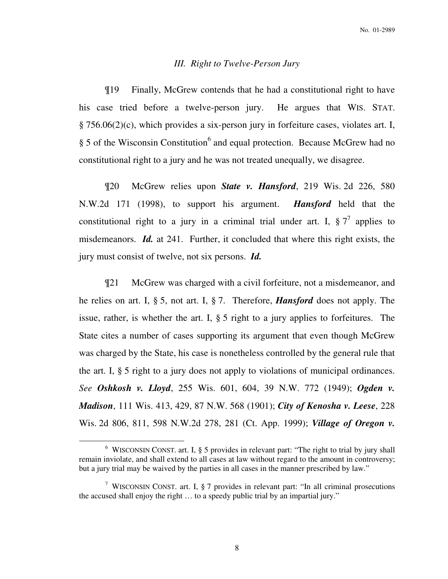### *III. Right to Twelve-Person Jury*

¶19 Finally, McGrew contends that he had a constitutional right to have his case tried before a twelve-person jury. He argues that WIS. STAT. § 756.06(2)(c), which provides a six-person jury in forfeiture cases, violates art. I, § 5 of the Wisconsin Constitution<sup>6</sup> and equal protection. Because McGrew had no constitutional right to a jury and he was not treated unequally, we disagree.

¶20 McGrew relies upon *State v. Hansford*, 219 Wis. 2d 226, 580 N.W.2d 171 (1998), to support his argument. *Hansford* held that the constitutional right to a jury in a criminal trial under art. I,  $\S 7^7$  applies to misdemeanors. *Id.* at 241. Further, it concluded that where this right exists, the jury must consist of twelve, not six persons. *Id.*

¶21 McGrew was charged with a civil forfeiture, not a misdemeanor, and he relies on art. I, § 5, not art. I, § 7. Therefore, *Hansford* does not apply. The issue, rather, is whether the art. I, § 5 right to a jury applies to forfeitures. The State cites a number of cases supporting its argument that even though McGrew was charged by the State, his case is nonetheless controlled by the general rule that the art. I, § 5 right to a jury does not apply to violations of municipal ordinances. *See Oshkosh v. Lloyd*, 255 Wis. 601, 604, 39 N.W. 772 (1949); *Ogden v. Madison*, 111 Wis. 413, 429, 87 N.W. 568 (1901); *City of Kenosha v. Leese*, 228 Wis. 2d 806, 811, 598 N.W.2d 278, 281 (Ct. App. 1999); *Village of Oregon v.* 

<sup>&</sup>lt;sup>6</sup> WISCONSIN CONST. art. I, § 5 provides in relevant part: "The right to trial by jury shall remain inviolate, and shall extend to all cases at law without regard to the amount in controversy; but a jury trial may be waived by the parties in all cases in the manner prescribed by law."

<sup>&</sup>lt;sup>7</sup> WISCONSIN CONST. art. I, § 7 provides in relevant part: "In all criminal prosecutions the accused shall enjoy the right … to a speedy public trial by an impartial jury."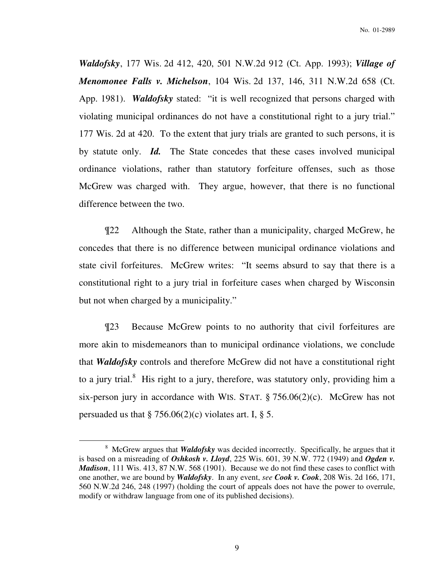*Waldofsky*, 177 Wis. 2d 412, 420, 501 N.W.2d 912 (Ct. App. 1993); *Village of Menomonee Falls v. Michelson*, 104 Wis. 2d 137, 146, 311 N.W.2d 658 (Ct. App. 1981). *Waldofsky* stated: "it is well recognized that persons charged with violating municipal ordinances do not have a constitutional right to a jury trial." 177 Wis. 2d at 420.To the extent that jury trials are granted to such persons, it is by statute only. *Id.* The State concedes that these cases involved municipal ordinance violations, rather than statutory forfeiture offenses, such as those McGrew was charged with. They argue, however, that there is no functional difference between the two.

¶22 Although the State, rather than a municipality, charged McGrew, he concedes that there is no difference between municipal ordinance violations and state civil forfeitures. McGrew writes: "It seems absurd to say that there is a constitutional right to a jury trial in forfeiture cases when charged by Wisconsin but not when charged by a municipality."

¶23 Because McGrew points to no authority that civil forfeitures are more akin to misdemeanors than to municipal ordinance violations, we conclude that *Waldofsky* controls and therefore McGrew did not have a constitutional right to a jury trial.<sup>8</sup> His right to a jury, therefore, was statutory only, providing him a six-person jury in accordance with WIS. STAT.  $\S 756.06(2)(c)$ . McGrew has not persuaded us that  $\S 756.06(2)(c)$  violates art. I,  $\S 5$ .

<sup>&</sup>lt;sup>8</sup> McGrew argues that *Waldofsky* was decided incorrectly. Specifically, he argues that it is based on a misreading of *Oshkosh v. Lloyd*, 225 Wis. 601, 39 N.W. 772 (1949) and *Ogden v. Madison*, 111 Wis. 413, 87 N.W. 568 (1901). Because we do not find these cases to conflict with one another, we are bound by *Waldofsky*. In any event, *see Cook v. Cook*, 208 Wis. 2d 166, 171, 560 N.W.2d 246, 248 (1997) (holding the court of appeals does not have the power to overrule, modify or withdraw language from one of its published decisions).